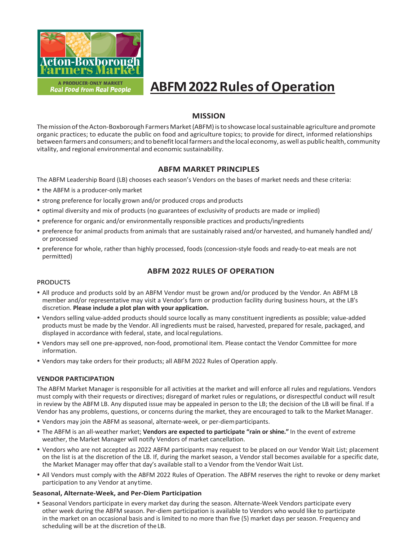

# **ABFM2022Rules of Operation**

# **MISSION**

The mission of the Acton-Boxborough Farmers Market (ABFM) is to showcase local sustainable agriculture and promote organic practices; to educate the public on food and agriculture topics; to provide for direct, informed relationships between farmers and consumers; and to benefit local farmers and the local economy, as well as public health, community vitality, and regional environmental and economic sustainability.

# **ABFM MARKET PRINCIPLES**

The ABFM Leadership Board (LB) chooses each season's Vendors on the bases of market needs and these criteria:

- the ABFM is a producer-only market
- strong preference for locally grown and/or produced crops and products
- optimal diversity and mix of products (no guarantees of exclusivity of products are made or implied)
- preference for organic and/or environmentally responsible practices and products/ingredients
- preference for animal products from animals that are sustainably raised and/or harvested, and humanely handled and/ or processed
- preference for whole, rather than highly processed, foods (concession-style foods and ready-to-eat meals are not permitted)

# **ABFM 2022 RULES OF OPERATION**

# PRODUCTS

- All produce and products sold by an ABFM Vendor must be grown and/or produced by the Vendor. An ABFM LB member and/or representative may visit a Vendor's farm or production facility during business hours, at the LB's discretion. **Please include a plot plan with your application.**
- Vendors selling value-added products should source locally as many constituent ingredients as possible; value-added products must be made by the Vendor. All ingredients must be raised, harvested, prepared for resale, packaged, and displayed in accordance with federal, state, and localregulations.
- Vendors may sell one pre-approved, non-food, promotional item. Please contact the Vendor Committee for more information.
- Vendors may take orders for their products; all ABFM 2022 Rules of Operation apply.

# **VENDOR PARTICIPATION**

The ABFM Market Manager is responsible for all activities at the market and will enforce all rules and regulations. Vendors must comply with their requests or directives; disregard of market rules or regulations, or disrespectful conduct will result in review by the ABFM LB. Any disputed issue may be appealed in person to the LB; the decision of the LB will be final. If a Vendor has any problems, questions, or concerns during the market, they are encouraged to talk to the Market Manager.

- Vendors may join the ABFM as seasonal, alternate-week, or per-diemparticipants.
- The ABFM is an all-weather market; **Vendors are expected to participate "rain or shine."** In the event of extreme weather, the Market Manager will notify Vendors of market cancellation.
- Vendors who are not accepted as 2022 ABFM participants may request to be placed on our Vendor Wait List; placement on the list is at the discretion of the LB. If, during the market season, a Vendor stall becomes available for a specific date, the Market Manager may offer that day's available stall to a Vendor from the Vendor Wait List.
- All Vendors must comply with the ABFM 2022 Rules of Operation. The ABFM reserves the right to revoke or deny market participation to any Vendor at anytime.

# **Seasonal, Alternate-Week, and Per-Diem Participation**

 Seasonal Vendors participate in every market day during the season. Alternate-Week Vendors participate every other week during the ABFM season. Per-diem participation is available to Vendors who would like to participate in the market on an occasional basis and is limited to no more than five (5) market days per season. Frequency and scheduling will be at the discretion of the LB.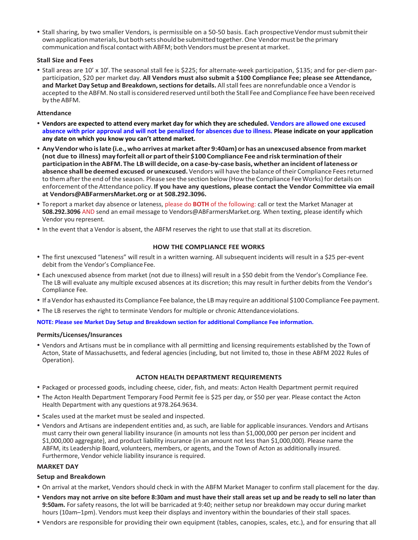• Stall sharing, by two smaller Vendors, is permissible on a 50-50 basis. Each prospective Vendormust submit their own application materials, but both sets should be submitted together. One Vendor must be the primary communication and fiscal contact with ABFM; both Vendors must be present at market.

# **Stall Size and Fees**

 Stall areas are 10' x 10'. The seasonal stall fee is \$225; for alternate-week participation, \$135; and for per-diem parparticipation, \$20 per market day. **All Vendors must also submit a \$100 Compliance Fee; please see Attendance, and Market Day Setup and Breakdown,sectionsfor details.** Allstall fees are nonrefundable once a Vendor is accepted to the ABFM. No stall is considered reserved until both the Stall Fee and Compliance Fee have been received by the ABFM.

# **Attendance**

- **Vendors are expected to attend every market day for which they are scheduled. Vendors are allowed one excused absence with prior approval and will not be penalized for absences due to illness. Please indicate on your application any date on which you know you can't attend market.**
- **AnyVendorwho islate (i.e.,who arrives at market after 9:40am) or has an unexcused absence from market (not due to illness) may forfeit all or part oftheir \$100 Compliance Fee and risk termination oftheir participation in theABFM.The LBwill decide, on a case-by-case basis,whether an incident oflateness or absence shall be deemed excused or unexcused.** Vendors will have the balance oftheir Compliance Feesreturned to them after the end of the season. Please see the section below (How the Compliance Fee Works) for details on enforcement ofthe Attendance policy. **If you have any questions, please contact the Vendor Committee via email at Vendors@ABFarmersMarket.org or at 508.292.3096.**
- To report a market day absence or lateness, please do **BOTH** of the following: call or text the Market Manager at **508.292.3096** AND send an email message to Vendors@ABFarmersMarket.org. When texting, please identify which Vendor you represent.
- In the event that a Vendor is absent, the ABFM reserves the right to use that stall at its discretion.

# **HOW THE COMPLIANCE FEE WORKS**

- The first unexcused "lateness" will result in a written warning. All subsequent incidents will result in a \$25 per-event debit from the Vendor's Compliance Fee.
- Each unexcused absence from market (not due to illness) will result in a \$50 debit from the Vendor's Compliance Fee. The LB will evaluate any multiple excused absences at its discretion; this may result in further debits from the Vendor's Compliance Fee.
- If a Vendor has exhausted its Compliance Fee balance, the LB may require an additional \$100 Compliance Fee payment.
- The LB reserves the right to terminate Vendors for multiple or chronic Attendanceviolations.

#### **NOTE: Please see Market Day Setup and Breakdown section for additional Compliance Fee information.**

#### **Permits/Licenses/Insurances**

 Vendors and Artisans must be in compliance with all permitting and licensing requirements established by the Town of Acton, State of Massachusetts, and federal agencies (including, but not limited to, those in these ABFM 2022 Rules of Operation).

#### **ACTON HEALTH DEPARTMENT REQUIREMENTS**

- Packaged or processed goods, including cheese, cider, fish, and meats: Acton Health Department permit required
- The Acton Health Department Temporary Food Permit fee is \$25 per day, or \$50 per year. Please contact the Acton Health Department with any questions at 978.264.9634.
- Scales used at the market must be sealed and inspected.
- Vendors and Artisans are independent entities and, as such, are liable for applicable insurances. Vendors and Artisans must carry their own general liability insurance (in amounts not less than \$1,000,000 per person per incident and \$1,000,000 aggregate), and product liability insurance (in an amount not less than \$1,000,000). Please name the ABFM, its Leadership Board, volunteers, members, or agents, and the Town of Acton as additionally insured. Furthermore, Vendor vehicle liability insurance is required.

# **MARKET DAY**

# **Setup and Breakdown**

- On arrival at the market, Vendors should check in with the ABFM Market Manager to confirm stall placement for the day.
- **Vendors may not arrive on site before 8:30am and must have their stall areas set up and be ready to sell no later than 9:50am.** For safety reasons, the lot will be barricaded at 9:40; neither setup nor breakdown may occur during market hours (10am–1pm). Vendors must keep their displays and inventory within the boundaries of their stall spaces.
- Vendors are responsible for providing their own equipment (tables, canopies, scales, etc.), and for ensuring that all